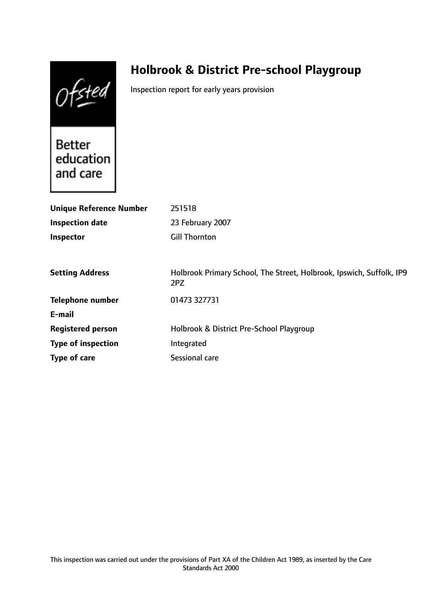Ofsted

# **Holbrook & District Pre-school Playgroup**

Inspection report for early years provision

**Better** education and care

| <b>Unique Reference Number</b> | 251518                                                                      |
|--------------------------------|-----------------------------------------------------------------------------|
| <b>Inspection date</b>         | 23 February 2007                                                            |
| Inspector                      | Gill Thornton                                                               |
|                                |                                                                             |
| <b>Setting Address</b>         | Holbrook Primary School, The Street, Holbrook, Ipswich, Suffolk, IP9<br>2PZ |
| <b>Telephone number</b>        | 01473 327731                                                                |
| E-mail                         |                                                                             |
| <b>Registered person</b>       | Holbrook & District Pre-School Playgroup                                    |
| <b>Type of inspection</b>      | Integrated                                                                  |
| Type of care                   | Sessional care                                                              |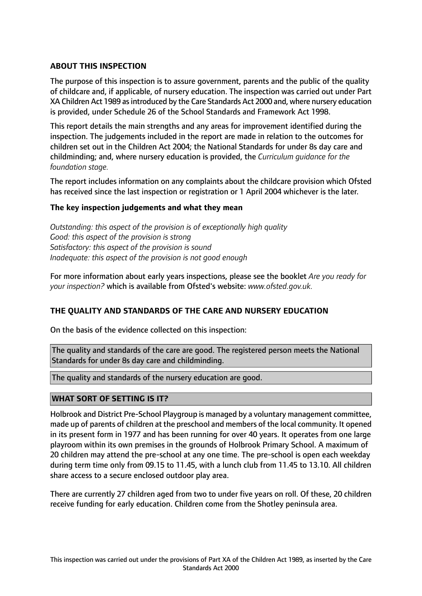# **ABOUT THIS INSPECTION**

The purpose of this inspection is to assure government, parents and the public of the quality of childcare and, if applicable, of nursery education. The inspection was carried out under Part XA Children Act 1989 as introduced by the Care Standards Act 2000 and, where nursery education is provided, under Schedule 26 of the School Standards and Framework Act 1998.

This report details the main strengths and any areas for improvement identified during the inspection. The judgements included in the report are made in relation to the outcomes for children set out in the Children Act 2004; the National Standards for under 8s day care and childminding; and, where nursery education is provided, the *Curriculum guidance for the foundation stage.*

The report includes information on any complaints about the childcare provision which Ofsted has received since the last inspection or registration or 1 April 2004 whichever is the later.

### **The key inspection judgements and what they mean**

*Outstanding: this aspect of the provision is of exceptionally high quality Good: this aspect of the provision is strong Satisfactory: this aspect of the provision is sound Inadequate: this aspect of the provision is not good enough*

For more information about early years inspections, please see the booklet *Are you ready for your inspection?* which is available from Ofsted's website: *www.ofsted.gov.uk.*

### **THE QUALITY AND STANDARDS OF THE CARE AND NURSERY EDUCATION**

On the basis of the evidence collected on this inspection:

The quality and standards of the care are good. The registered person meets the National Standards for under 8s day care and childminding.

The quality and standards of the nursery education are good.

### **WHAT SORT OF SETTING IS IT?**

Holbrook and District Pre-School Playgroup is managed by a voluntary management committee, made up of parents of children at the preschool and members of the local community. It opened in its present form in 1977 and has been running for over 40 years. It operates from one large playroom within its own premises in the grounds of Holbrook Primary School. A maximum of 20 children may attend the pre-school at any one time. The pre-school is open each weekday during term time only from 09.15 to 11.45, with a lunch club from 11.45 to 13.10. All children share access to a secure enclosed outdoor play area.

There are currently 27 children aged from two to under five years on roll. Of these, 20 children receive funding for early education. Children come from the Shotley peninsula area.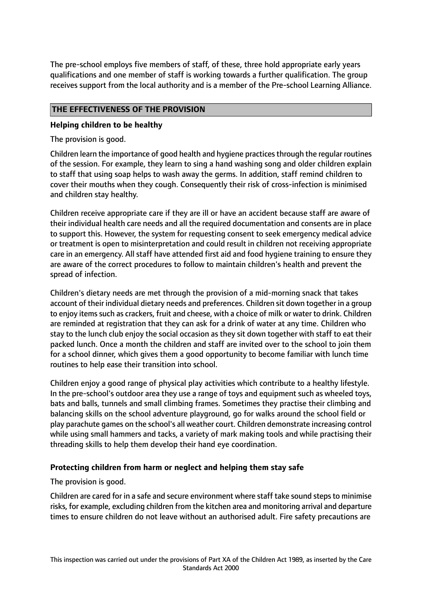The pre-school employs five members of staff, of these, three hold appropriate early years qualifications and one member of staff is working towards a further qualification. The group receives support from the local authority and is a member of the Pre-school Learning Alliance.

# **THE EFFECTIVENESS OF THE PROVISION**

### **Helping children to be healthy**

The provision is good.

Children learn the importance of good health and hygiene practicesthrough the regular routines of the session. For example, they learn to sing a hand washing song and older children explain to staff that using soap helps to wash away the germs. In addition, staff remind children to cover their mouths when they cough. Consequently their risk of cross-infection is minimised and children stay healthy.

Children receive appropriate care if they are ill or have an accident because staff are aware of their individual health care needs and all the required documentation and consents are in place to support this. However, the system for requesting consent to seek emergency medical advice or treatment is open to misinterpretation and could result in children not receiving appropriate care in an emergency. All staff have attended first aid and food hygiene training to ensure they are aware of the correct procedures to follow to maintain children's health and prevent the spread of infection.

Children's dietary needs are met through the provision of a mid-morning snack that takes account of their individual dietary needs and preferences. Children sit down together in a group to enjoy items such as crackers, fruit and cheese, with a choice of milk or water to drink. Children are reminded at registration that they can ask for a drink of water at any time. Children who stay to the lunch club enjoy the social occasion as they sit down together with staff to eat their packed lunch. Once a month the children and staff are invited over to the school to join them for a school dinner, which gives them a good opportunity to become familiar with lunch time routines to help ease their transition into school.

Children enjoy a good range of physical play activities which contribute to a healthy lifestyle. In the pre-school's outdoor area they use a range of toys and equipment such as wheeled toys, bats and balls, tunnels and small climbing frames. Sometimes they practise their climbing and balancing skills on the school adventure playground, go for walks around the school field or play parachute games on the school's all weather court. Children demonstrate increasing control while using small hammers and tacks, a variety of mark making tools and while practising their threading skills to help them develop their hand eye coordination.

### **Protecting children from harm or neglect and helping them stay safe**

The provision is good.

Children are cared for in a safe and secure environment where staff take sound stepsto minimise risks, for example, excluding children from the kitchen area and monitoring arrival and departure times to ensure children do not leave without an authorised adult. Fire safety precautions are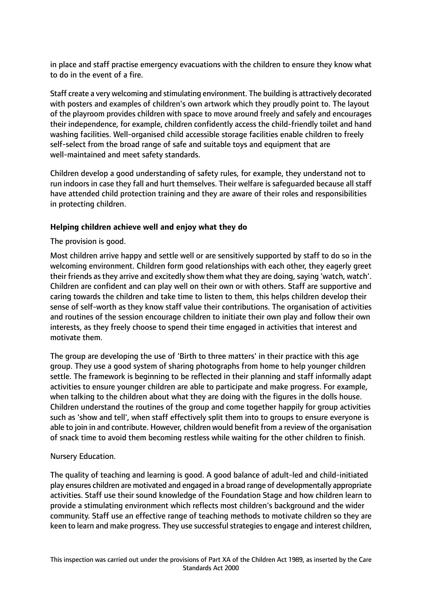in place and staff practise emergency evacuations with the children to ensure they know what to do in the event of a fire.

Staff create a very welcoming and stimulating environment. The building is attractively decorated with posters and examples of children's own artwork which they proudly point to. The layout of the playroom provides children with space to move around freely and safely and encourages their independence, for example, children confidently access the child-friendly toilet and hand washing facilities. Well-organised child accessible storage facilities enable children to freely self-select from the broad range of safe and suitable toys and equipment that are well-maintained and meet safety standards.

Children develop a good understanding of safety rules, for example, they understand not to run indoors in case they fall and hurt themselves. Their welfare is safeguarded because all staff have attended child protection training and they are aware of their roles and responsibilities in protecting children.

# **Helping children achieve well and enjoy what they do**

The provision is good.

Most children arrive happy and settle well or are sensitively supported by staff to do so in the welcoming environment. Children form good relationships with each other, they eagerly greet their friends as they arrive and excitedly show them what they are doing, saying 'watch, watch'. Children are confident and can play well on their own or with others. Staff are supportive and caring towards the children and take time to listen to them, this helps children develop their sense of self-worth as they know staff value their contributions. The organisation of activities and routines of the session encourage children to initiate their own play and follow their own interests, as they freely choose to spend their time engaged in activities that interest and motivate them.

The group are developing the use of 'Birth to three matters' in their practice with this age group. They use a good system of sharing photographs from home to help younger children settle. The framework is beginning to be reflected in their planning and staff informally adapt activities to ensure younger children are able to participate and make progress. For example, when talking to the children about what they are doing with the figures in the dolls house. Children understand the routines of the group and come together happily for group activities such as 'show and tell', when staff effectively split them into to groups to ensure everyone is able to join in and contribute. However, children would benefit from a review of the organisation of snack time to avoid them becoming restless while waiting for the other children to finish.

### Nursery Education.

The quality of teaching and learning is good. A good balance of adult-led and child-initiated play ensures children are motivated and engaged in a broad range of developmentally appropriate activities. Staff use their sound knowledge of the Foundation Stage and how children learn to provide a stimulating environment which reflects most children's background and the wider community. Staff use an effective range of teaching methods to motivate children so they are keen to learn and make progress. They use successful strategies to engage and interest children,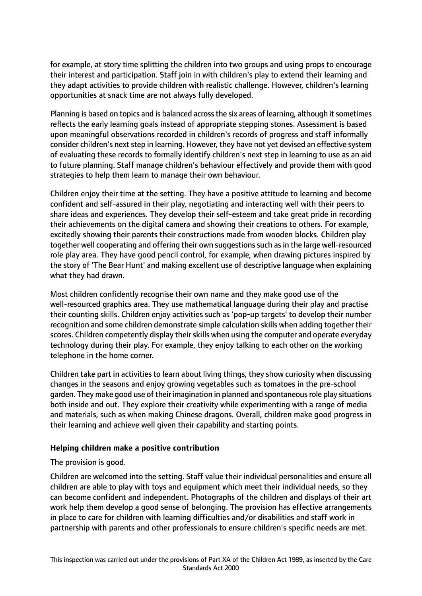for example, at story time splitting the children into two groups and using props to encourage their interest and participation. Staff join in with children's play to extend their learning and they adapt activities to provide children with realistic challenge. However, children's learning opportunities at snack time are not always fully developed.

Planning is based on topics and is balanced across the six areas of learning, although it sometimes reflects the early learning goals instead of appropriate stepping stones. Assessment is based upon meaningful observations recorded in children's records of progress and staff informally consider children's next step in learning. However, they have not yet devised an effective system of evaluating these records to formally identify children's next step in learning to use as an aid to future planning. Staff manage children's behaviour effectively and provide them with good strategies to help them learn to manage their own behaviour.

Children enjoy their time at the setting. They have a positive attitude to learning and become confident and self-assured in their play, negotiating and interacting well with their peers to share ideas and experiences. They develop their self-esteem and take great pride in recording their achievements on the digital camera and showing their creations to others. For example, excitedly showing their parents their constructions made from wooden blocks. Children play together well cooperating and offering their own suggestions such as in the large well-resourced role play area. They have good pencil control, for example, when drawing pictures inspired by the story of 'The Bear Hunt' and making excellent use of descriptive language when explaining what they had drawn.

Most children confidently recognise their own name and they make good use of the well-resourced graphics area. They use mathematical language during their play and practise their counting skills. Children enjoy activities such as 'pop-up targets' to develop their number recognition and some children demonstrate simple calculation skills when adding together their scores. Children competently display their skills when using the computer and operate everyday technology during their play. For example, they enjoy talking to each other on the working telephone in the home corner.

Children take part in activities to learn about living things, they show curiosity when discussing changes in the seasons and enjoy growing vegetables such as tomatoes in the pre-school garden. They make good use of their imagination in planned and spontaneousrole play situations both inside and out. They explore their creativity while experimenting with a range of media and materials, such as when making Chinese dragons. Overall, children make good progress in their learning and achieve well given their capability and starting points.

### **Helping children make a positive contribution**

The provision is good.

Children are welcomed into the setting. Staff value their individual personalities and ensure all children are able to play with toys and equipment which meet their individual needs, so they can become confident and independent. Photographs of the children and displays of their art work help them develop a good sense of belonging. The provision has effective arrangements in place to care for children with learning difficulties and/or disabilities and staff work in partnership with parents and other professionals to ensure children's specific needs are met.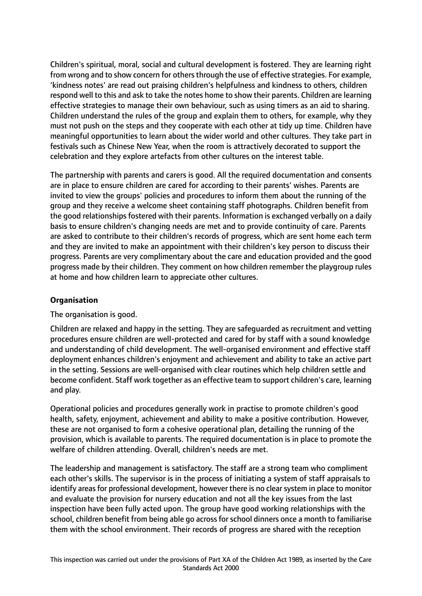Children's spiritual, moral, social and cultural development is fostered. They are learning right from wrong and to show concern for others through the use of effective strategies. For example, 'kindness notes' are read out praising children's helpfulness and kindness to others, children respond well to this and ask to take the notes home to show their parents. Children are learning effective strategies to manage their own behaviour, such as using timers as an aid to sharing. Children understand the rules of the group and explain them to others, for example, why they must not push on the steps and they cooperate with each other at tidy up time. Children have meaningful opportunities to learn about the wider world and other cultures. They take part in festivals such as Chinese New Year, when the room is attractively decorated to support the celebration and they explore artefacts from other cultures on the interest table.

The partnership with parents and carers is good. All the required documentation and consents are in place to ensure children are cared for according to their parents' wishes. Parents are invited to view the groups' policies and procedures to inform them about the running of the group and they receive a welcome sheet containing staff photographs. Children benefit from the good relationships fostered with their parents. Information is exchanged verbally on a daily basis to ensure children's changing needs are met and to provide continuity of care. Parents are asked to contribute to their children's records of progress, which are sent home each term and they are invited to make an appointment with their children's key person to discuss their progress. Parents are very complimentary about the care and education provided and the good progress made by their children. They comment on how children remember the playgroup rules at home and how children learn to appreciate other cultures.

## **Organisation**

The organisation is good.

Children are relaxed and happy in the setting. They are safeguarded as recruitment and vetting procedures ensure children are well-protected and cared for by staff with a sound knowledge and understanding of child development. The well-organised environment and effective staff deployment enhances children's enjoyment and achievement and ability to take an active part in the setting. Sessions are well-organised with clear routines which help children settle and become confident. Staff work together as an effective team to support children's care, learning and play.

Operational policies and procedures generally work in practise to promote children's good health, safety, enjoyment, achievement and ability to make a positive contribution. However, these are not organised to form a cohesive operational plan, detailing the running of the provision, which is available to parents. The required documentation is in place to promote the welfare of children attending. Overall, children's needs are met.

The leadership and management is satisfactory. The staff are a strong team who compliment each other's skills. The supervisor is in the process of initiating a system of staff appraisals to identify areas for professional development, however there is no clear system in place to monitor and evaluate the provision for nursery education and not all the key issues from the last inspection have been fully acted upon. The group have good working relationships with the school, children benefit from being able go across for school dinners once a month to familiarise them with the school environment. Their records of progress are shared with the reception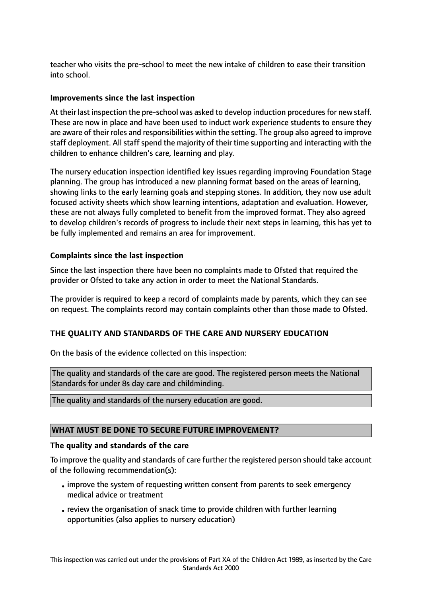teacher who visits the pre-school to meet the new intake of children to ease their transition into school.

### **Improvements since the last inspection**

At their last inspection the pre-school was asked to develop induction procedures for new staff. These are now in place and have been used to induct work experience students to ensure they are aware of their roles and responsibilities within the setting. The group also agreed to improve staff deployment. All staff spend the majority of their time supporting and interacting with the children to enhance children's care, learning and play.

The nursery education inspection identified key issues regarding improving Foundation Stage planning. The group has introduced a new planning format based on the areas of learning, showing links to the early learning goals and stepping stones. In addition, they now use adult focused activity sheets which show learning intentions, adaptation and evaluation. However, these are not always fully completed to benefit from the improved format. They also agreed to develop children's records of progress to include their next steps in learning, this has yet to be fully implemented and remains an area for improvement.

#### **Complaints since the last inspection**

Since the last inspection there have been no complaints made to Ofsted that required the provider or Ofsted to take any action in order to meet the National Standards.

The provider is required to keep a record of complaints made by parents, which they can see on request. The complaints record may contain complaints other than those made to Ofsted.

### **THE QUALITY AND STANDARDS OF THE CARE AND NURSERY EDUCATION**

On the basis of the evidence collected on this inspection:

The quality and standards of the care are good. The registered person meets the National Standards for under 8s day care and childminding.

The quality and standards of the nursery education are good.

### **WHAT MUST BE DONE TO SECURE FUTURE IMPROVEMENT?**

#### **The quality and standards of the care**

To improve the quality and standards of care further the registered person should take account of the following recommendation(s):

- •improve the system of requesting written consent from parents to seek emergency medical advice or treatment
- •review the organisation of snack time to provide children with further learning opportunities (also applies to nursery education)